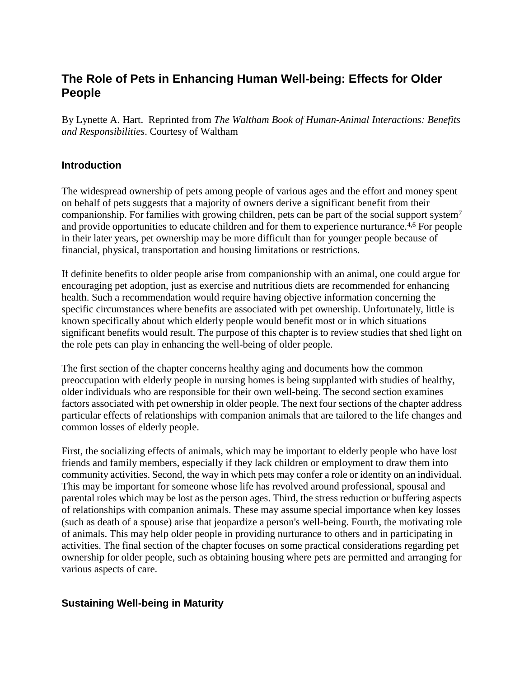# **The Role of Pets in Enhancing Human Well-being: Effects for Older People**

By Lynette A. Hart. Reprinted from *The Waltham Book of Human-Animal Interactions: Benefits and Responsibilities*. Courtesy of Waltham

#### **Introduction**

The widespread ownership of pets among people of various ages and the effort and money spent on behalf of pets suggests that a majority of owners derive a significant benefit from their companionship. For families with growing children, pets can be part of the social support system<sup>7</sup> and provide opportunities to educate children and for them to experience nurturance.4,6 For people in their later years, pet ownership may be more difficult than for younger people because of financial, physical, transportation and housing limitations or restrictions.

If definite benefits to older people arise from companionship with an animal, one could argue for encouraging pet adoption, just as exercise and nutritious diets are recommended for enhancing health. Such a recommendation would require having objective information concerning the specific circumstances where benefits are associated with pet ownership. Unfortunately, little is known specifically about which elderly people would benefit most or in which situations significant benefits would result. The purpose of this chapter is to review studies that shed light on the role pets can play in enhancing the well-being of older people.

The first section of the chapter concerns healthy aging and documents how the common preoccupation with elderly people in nursing homes is being supplanted with studies of healthy, older individuals who are responsible for their own well-being. The second section examines factors associated with pet ownership in older people. The next four sections of the chapter address particular effects of relationships with companion animals that are tailored to the life changes and common losses of elderly people.

First, the socializing effects of animals, which may be important to elderly people who have lost friends and family members, especially if they lack children or employment to draw them into community activities. Second, the way in which pets may confer a role or identity on an individual. This may be important for someone whose life has revolved around professional, spousal and parental roles which may be lost as the person ages. Third, the stress reduction or buffering aspects of relationships with companion animals. These may assume special importance when key losses (such as death of a spouse) arise that jeopardize a person's well-being. Fourth, the motivating role of animals. This may help older people in providing nurturance to others and in participating in activities. The final section of the chapter focuses on some practical considerations regarding pet ownership for older people, such as obtaining housing where pets are permitted and arranging for various aspects of care.

#### **Sustaining Well-being in Maturity**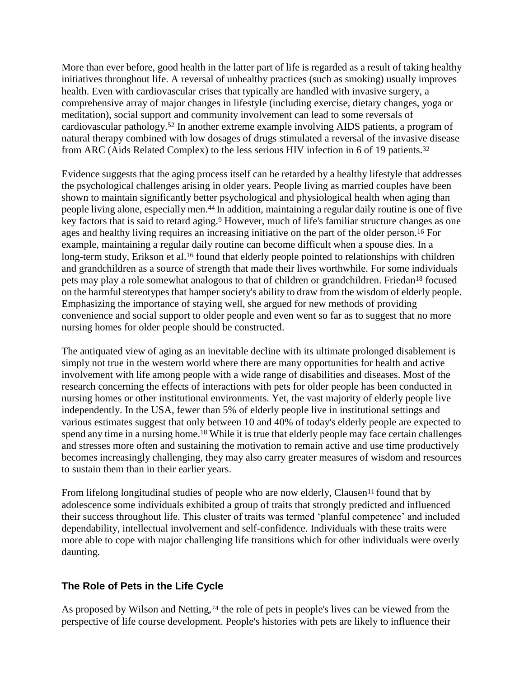More than ever before, good health in the latter part of life is regarded as a result of taking healthy initiatives throughout life. A reversal of unhealthy practices (such as smoking) usually improves health. Even with cardiovascular crises that typically are handled with invasive surgery, a comprehensive array of major changes in lifestyle (including exercise, dietary changes, yoga or meditation), social support and community involvement can lead to some reversals of cardiovascular pathology.<sup>52</sup> In another extreme example involving AIDS patients, a program of natural therapy combined with low dosages of drugs stimulated a reversal of the invasive disease from ARC (Aids Related Complex) to the less serious HIV infection in 6 of 19 patients.<sup>32</sup>

Evidence suggests that the aging process itself can be retarded by a healthy lifestyle that addresses the psychological challenges arising in older years. People living as married couples have been shown to maintain significantly better psychological and physiological health when aging than people living alone, especially men.44 In addition, maintaining a regular daily routine is one of five key factors that is said to retard aging.<sup>9</sup> However, much of life's familiar structure changes as one ages and healthy living requires an increasing initiative on the part of the older person.<sup>16</sup> For example, maintaining a regular daily routine can become difficult when a spouse dies. In a long-term study, Erikson et al.<sup>16</sup> found that elderly people pointed to relationships with children and grandchildren as a source of strength that made their lives worthwhile. For some individuals pets may play a role somewhat analogous to that of children or grandchildren. Friedan<sup>18</sup> focused on the harmful stereotypes that hamper society's ability to draw from the wisdom of elderly people. Emphasizing the importance of staying well, she argued for new methods of providing convenience and social support to older people and even went so far as to suggest that no more nursing homes for older people should be constructed.

The antiquated view of aging as an inevitable decline with its ultimate prolonged disablement is simply not true in the western world where there are many opportunities for health and active involvement with life among people with a wide range of disabilities and diseases. Most of the research concerning the effects of interactions with pets for older people has been conducted in nursing homes or other institutional environments. Yet, the vast majority of elderly people live independently. In the USA, fewer than 5% of elderly people live in institutional settings and various estimates suggest that only between 10 and 40% of today's elderly people are expected to spend any time in a nursing home.<sup>18</sup> While it is true that elderly people may face certain challenges and stresses more often and sustaining the motivation to remain active and use time productively becomes increasingly challenging, they may also carry greater measures of wisdom and resources to sustain them than in their earlier years.

From lifelong longitudinal studies of people who are now elderly, Clausen<sup>11</sup> found that by adolescence some individuals exhibited a group of traits that strongly predicted and influenced their success throughout life. This cluster of traits was termed 'planful competence' and included dependability, intellectual involvement and self-confidence. Individuals with these traits were more able to cope with major challenging life transitions which for other individuals were overly daunting.

### **The Role of Pets in the Life Cycle**

As proposed by Wilson and Netting,<sup>74</sup> the role of pets in people's lives can be viewed from the perspective of life course development. People's histories with pets are likely to influence their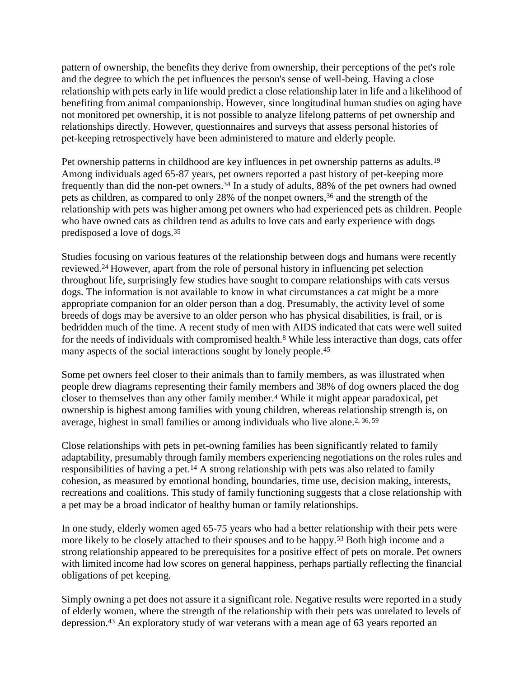pattern of ownership, the benefits they derive from ownership, their perceptions of the pet's role and the degree to which the pet influences the person's sense of well-being. Having a close relationship with pets early in life would predict a close relationship later in life and a likelihood of benefiting from animal companionship. However, since longitudinal human studies on aging have not monitored pet ownership, it is not possible to analyze lifelong patterns of pet ownership and relationships directly. However, questionnaires and surveys that assess personal histories of pet-keeping retrospectively have been administered to mature and elderly people.

Pet ownership patterns in childhood are key influences in pet ownership patterns as adults.<sup>19</sup> Among individuals aged 65-87 years, pet owners reported a past history of pet-keeping more frequently than did the non-pet owners.<sup>34</sup> In a study of adults, 88% of the pet owners had owned pets as children, as compared to only 28% of the nonpet owners,<sup>36</sup> and the strength of the relationship with pets was higher among pet owners who had experienced pets as children. People who have owned cats as children tend as adults to love cats and early experience with dogs predisposed a love of dogs.<sup>35</sup>

Studies focusing on various features of the relationship between dogs and humans were recently reviewed.24 However, apart from the role of personal history in influencing pet selection throughout life, surprisingly few studies have sought to compare relationships with cats versus dogs. The information is not available to know in what circumstances a cat might be a more appropriate companion for an older person than a dog. Presumably, the activity level of some breeds of dogs may be aversive to an older person who has physical disabilities, is frail, or is bedridden much of the time. A recent study of men with AIDS indicated that cats were well suited for the needs of individuals with compromised health.<sup>8</sup> While less interactive than dogs, cats offer many aspects of the social interactions sought by lonely people.<sup>45</sup>

Some pet owners feel closer to their animals than to family members, as was illustrated when people drew diagrams representing their family members and 38% of dog owners placed the dog closer to themselves than any other family member.<sup>4</sup> While it might appear paradoxical, pet ownership is highest among families with young children, whereas relationship strength is, on average, highest in small families or among individuals who live alone.2, 36, 59

Close relationships with pets in pet-owning families has been significantly related to family adaptability, presumably through family members experiencing negotiations on the roles rules and responsibilities of having a pet.<sup>14</sup> A strong relationship with pets was also related to family cohesion, as measured by emotional bonding, boundaries, time use, decision making, interests, recreations and coalitions. This study of family functioning suggests that a close relationship with a pet may be a broad indicator of healthy human or family relationships.

In one study, elderly women aged 65-75 years who had a better relationship with their pets were more likely to be closely attached to their spouses and to be happy.<sup>53</sup> Both high income and a strong relationship appeared to be prerequisites for a positive effect of pets on morale. Pet owners with limited income had low scores on general happiness, perhaps partially reflecting the financial obligations of pet keeping.

Simply owning a pet does not assure it a significant role. Negative results were reported in a study of elderly women, where the strength of the relationship with their pets was unrelated to levels of depression.<sup>43</sup> An exploratory study of war veterans with a mean age of 63 years reported an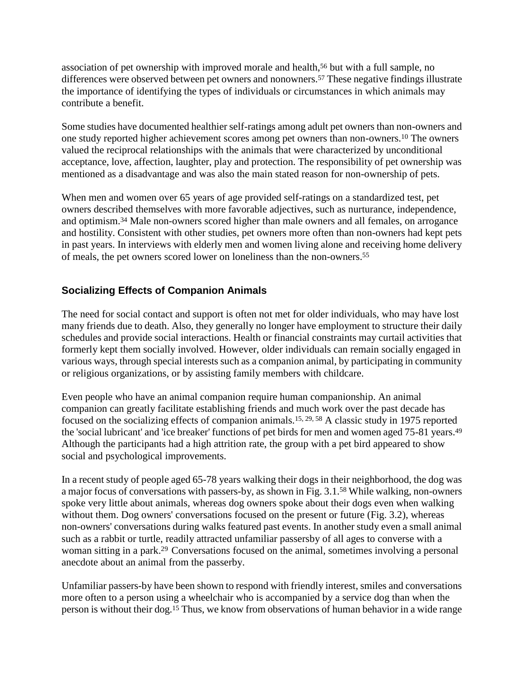association of pet ownership with improved morale and health,<sup>56</sup> but with a full sample, no differences were observed between pet owners and nonowners.<sup>57</sup> These negative findings illustrate the importance of identifying the types of individuals or circumstances in which animals may contribute a benefit.

Some studies have documented healthier self-ratings among adult pet owners than non-owners and one study reported higher achievement scores among pet owners than non-owners.<sup>10</sup> The owners valued the reciprocal relationships with the animals that were characterized by unconditional acceptance, love, affection, laughter, play and protection. The responsibility of pet ownership was mentioned as a disadvantage and was also the main stated reason for non-ownership of pets.

When men and women over 65 years of age provided self-ratings on a standardized test, pet owners described themselves with more favorable adjectives, such as nurturance, independence, and optimism.<sup>34</sup> Male non-owners scored higher than male owners and all females, on arrogance and hostility. Consistent with other studies, pet owners more often than non-owners had kept pets in past years. In interviews with elderly men and women living alone and receiving home delivery of meals, the pet owners scored lower on loneliness than the non-owners.<sup>55</sup>

## **Socializing Effects of Companion Animals**

The need for social contact and support is often not met for older individuals, who may have lost many friends due to death. Also, they generally no longer have employment to structure their daily schedules and provide social interactions. Health or financial constraints may curtail activities that formerly kept them socially involved. However, older individuals can remain socially engaged in various ways, through special interests such as a companion animal, by participating in community or religious organizations, or by assisting family members with childcare.

Even people who have an animal companion require human companionship. An animal companion can greatly facilitate establishing friends and much work over the past decade has focused on the socializing effects of companion animals.15, 29, 58 A classic study in 1975 reported the 'social lubricant' and 'ice breaker' functions of pet birds for men and women aged 75-81 years.<sup>49</sup> Although the participants had a high attrition rate, the group with a pet bird appeared to show social and psychological improvements.

In a recent study of people aged 65-78 years walking their dogs in their neighborhood, the dog was a major focus of conversations with passers-by, as shown in Fig. 3.1.<sup>58</sup> While walking, non-owners spoke very little about animals, whereas dog owners spoke about their dogs even when walking without them. Dog owners' conversations focused on the present or future (Fig. 3.2), whereas non-owners' conversations during walks featured past events. In another study even a small animal such as a rabbit or turtle, readily attracted unfamiliar passersby of all ages to converse with a woman sitting in a park.29 Conversations focused on the animal, sometimes involving a personal anecdote about an animal from the passerby.

Unfamiliar passers-by have been shown to respond with friendly interest, smiles and conversations more often to a person using a wheelchair who is accompanied by a service dog than when the person is without their dog.<sup>15</sup> Thus, we know from observations of human behavior in a wide range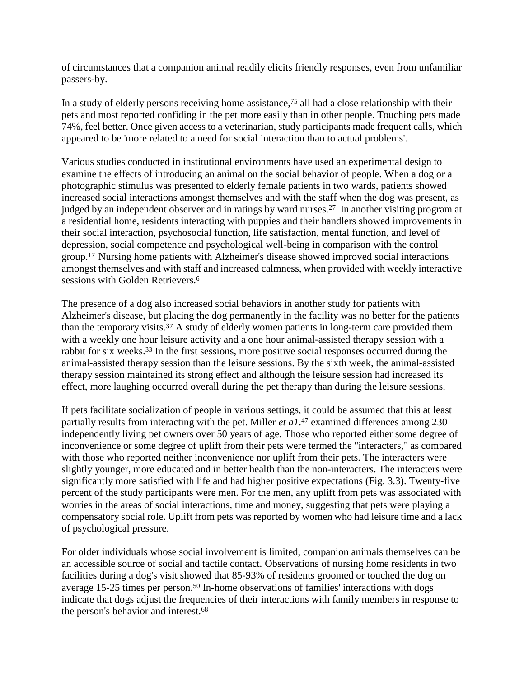of circumstances that a companion animal readily elicits friendly responses, even from unfamiliar passers-by.

In a study of elderly persons receiving home assistance,<sup>75</sup> all had a close relationship with their pets and most reported confiding in the pet more easily than in other people. Touching pets made 74%, feel better. Once given access to a veterinarian, study participants made frequent calls, which appeared to be 'more related to a need for social interaction than to actual problems'.

Various studies conducted in institutional environments have used an experimental design to examine the effects of introducing an animal on the social behavior of people. When a dog or a photographic stimulus was presented to elderly female patients in two wards, patients showed increased social interactions amongst themselves and with the staff when the dog was present, as judged by an independent observer and in ratings by ward nurses.<sup>27</sup> In another visiting program at a residential home, residents interacting with puppies and their handlers showed improvements in their social interaction, psychosocial function, life satisfaction, mental function, and level of depression, social competence and psychological well-being in comparison with the control group.17 Nursing home patients with Alzheimer's disease showed improved social interactions amongst themselves and with staff and increased calmness, when provided with weekly interactive sessions with Golden Retrievers.<sup>6</sup>

The presence of a dog also increased social behaviors in another study for patients with Alzheimer's disease, but placing the dog permanently in the facility was no better for the patients than the temporary visits.<sup>37</sup> A study of elderly women patients in long-term care provided them with a weekly one hour leisure activity and a one hour animal-assisted therapy session with a rabbit for six weeks.<sup>33</sup> In the first sessions, more positive social responses occurred during the animal-assisted therapy session than the leisure sessions. By the sixth week, the animal-assisted therapy session maintained its strong effect and although the leisure session had increased its effect, more laughing occurred overall during the pet therapy than during the leisure sessions.

If pets facilitate socialization of people in various settings, it could be assumed that this at least partially results from interacting with the pet. Miller *et a1*. <sup>47</sup> examined differences among 230 independently living pet owners over 50 years of age. Those who reported either some degree of inconvenience or some degree of uplift from their pets were termed the "interacters," as compared with those who reported neither inconvenience nor uplift from their pets. The interacters were slightly younger, more educated and in better health than the non-interacters. The interacters were significantly more satisfied with life and had higher positive expectations (Fig. 3.3). Twenty-five percent of the study participants were men. For the men, any uplift from pets was associated with worries in the areas of social interactions, time and money, suggesting that pets were playing a compensatory social role. Uplift from pets was reported by women who had leisure time and a lack of psychological pressure.

For older individuals whose social involvement is limited, companion animals themselves can be an accessible source of social and tactile contact. Observations of nursing home residents in two facilities during a dog's visit showed that 85-93% of residents groomed or touched the dog on average 15-25 times per person.<sup>50</sup> In-home observations of families' interactions with dogs indicate that dogs adjust the frequencies of their interactions with family members in response to the person's behavior and interest.68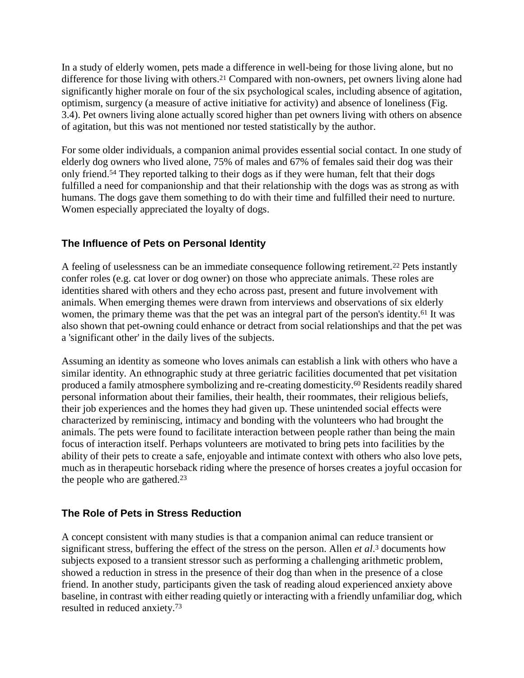In a study of elderly women, pets made a difference in well-being for those living alone, but no difference for those living with others.<sup>21</sup> Compared with non-owners, pet owners living alone had significantly higher morale on four of the six psychological scales, including absence of agitation, optimism, surgency (a measure of active initiative for activity) and absence of loneliness (Fig. 3.4). Pet owners living alone actually scored higher than pet owners living with others on absence of agitation, but this was not mentioned nor tested statistically by the author.

For some older individuals, a companion animal provides essential social contact. In one study of elderly dog owners who lived alone, 75% of males and 67% of females said their dog was their only friend.<sup>54</sup> They reported talking to their dogs as if they were human, felt that their dogs fulfilled a need for companionship and that their relationship with the dogs was as strong as with humans. The dogs gave them something to do with their time and fulfilled their need to nurture. Women especially appreciated the loyalty of dogs.

### **The Influence of Pets on Personal Identity**

A feeling of uselessness can be an immediate consequence following retirement.<sup>22</sup> Pets instantly confer roles (e.g. cat lover or dog owner) on those who appreciate animals. These roles are identities shared with others and they echo across past, present and future involvement with animals. When emerging themes were drawn from interviews and observations of six elderly women, the primary theme was that the pet was an integral part of the person's identity.<sup>61</sup> It was also shown that pet-owning could enhance or detract from social relationships and that the pet was a 'significant other' in the daily lives of the subjects.

Assuming an identity as someone who loves animals can establish a link with others who have a similar identity. An ethnographic study at three geriatric facilities documented that pet visitation produced a family atmosphere symbolizing and re-creating domesticity.<sup>60</sup> Residents readily shared personal information about their families, their health, their roommates, their religious beliefs, their job experiences and the homes they had given up. These unintended social effects were characterized by reminiscing, intimacy and bonding with the volunteers who had brought the animals. The pets were found to facilitate interaction between people rather than being the main focus of interaction itself. Perhaps volunteers are motivated to bring pets into facilities by the ability of their pets to create a safe, enjoyable and intimate context with others who also love pets, much as in therapeutic horseback riding where the presence of horses creates a joyful occasion for the people who are gathered.<sup>23</sup>

## **The Role of Pets in Stress Reduction**

A concept consistent with many studies is that a companion animal can reduce transient or significant stress, buffering the effect of the stress on the person. Allen *et al*. <sup>3</sup> documents how subjects exposed to a transient stressor such as performing a challenging arithmetic problem, showed a reduction in stress in the presence of their dog than when in the presence of a close friend. In another study, participants given the task of reading aloud experienced anxiety above baseline, in contrast with either reading quietly or interacting with a friendly unfamiliar dog, which resulted in reduced anxiety.73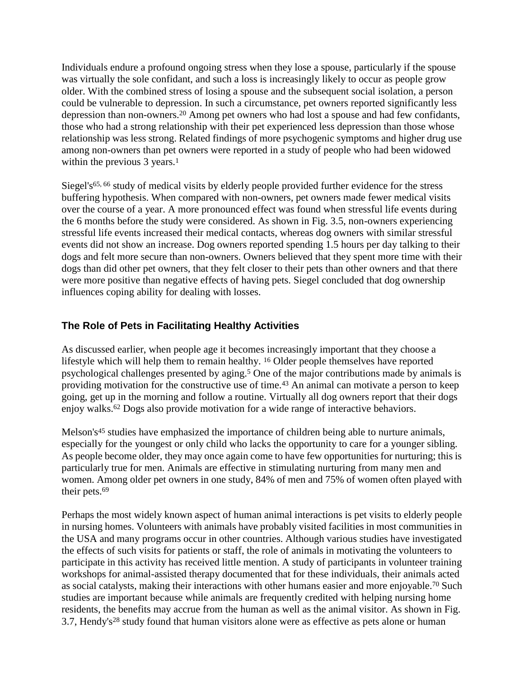Individuals endure a profound ongoing stress when they lose a spouse, particularly if the spouse was virtually the sole confidant, and such a loss is increasingly likely to occur as people grow older. With the combined stress of losing a spouse and the subsequent social isolation, a person could be vulnerable to depression. In such a circumstance, pet owners reported significantly less depression than non-owners.<sup>20</sup> Among pet owners who had lost a spouse and had few confidants, those who had a strong relationship with their pet experienced less depression than those whose relationship was less strong. Related findings of more psychogenic symptoms and higher drug use among non-owners than pet owners were reported in a study of people who had been widowed within the previous 3 years.<sup>1</sup>

Siegel's<sup>65, 66</sup> study of medical visits by elderly people provided further evidence for the stress buffering hypothesis. When compared with non-owners, pet owners made fewer medical visits over the course of a year. A more pronounced effect was found when stressful life events during the 6 months before the study were considered. As shown in Fig. 3.5, non-owners experiencing stressful life events increased their medical contacts, whereas dog owners with similar stressful events did not show an increase. Dog owners reported spending 1.5 hours per day talking to their dogs and felt more secure than non-owners. Owners believed that they spent more time with their dogs than did other pet owners, that they felt closer to their pets than other owners and that there were more positive than negative effects of having pets. Siegel concluded that dog ownership influences coping ability for dealing with losses.

## **The Role of Pets in Facilitating Healthy Activities**

As discussed earlier, when people age it becomes increasingly important that they choose a lifestyle which will help them to remain healthy. <sup>16</sup> Older people themselves have reported psychological challenges presented by aging.<sup>5</sup> One of the major contributions made by animals is providing motivation for the constructive use of time.<sup>43</sup> An animal can motivate a person to keep going, get up in the morning and follow a routine. Virtually all dog owners report that their dogs enjoy walks.<sup>62</sup> Dogs also provide motivation for a wide range of interactive behaviors.

Melson's<sup>45</sup> studies have emphasized the importance of children being able to nurture animals, especially for the youngest or only child who lacks the opportunity to care for a younger sibling. As people become older, they may once again come to have few opportunities for nurturing; this is particularly true for men. Animals are effective in stimulating nurturing from many men and women. Among older pet owners in one study, 84% of men and 75% of women often played with their pets.<sup>69</sup>

Perhaps the most widely known aspect of human animal interactions is pet visits to elderly people in nursing homes. Volunteers with animals have probably visited facilities in most communities in the USA and many programs occur in other countries. Although various studies have investigated the effects of such visits for patients or staff, the role of animals in motivating the volunteers to participate in this activity has received little mention. A study of participants in volunteer training workshops for animal-assisted therapy documented that for these individuals, their animals acted as social catalysts, making their interactions with other humans easier and more enjoyable.<sup>70</sup> Such studies are important because while animals are frequently credited with helping nursing home residents, the benefits may accrue from the human as well as the animal visitor. As shown in Fig. 3.7, Hendy's<sup>28</sup> study found that human visitors alone were as effective as pets alone or human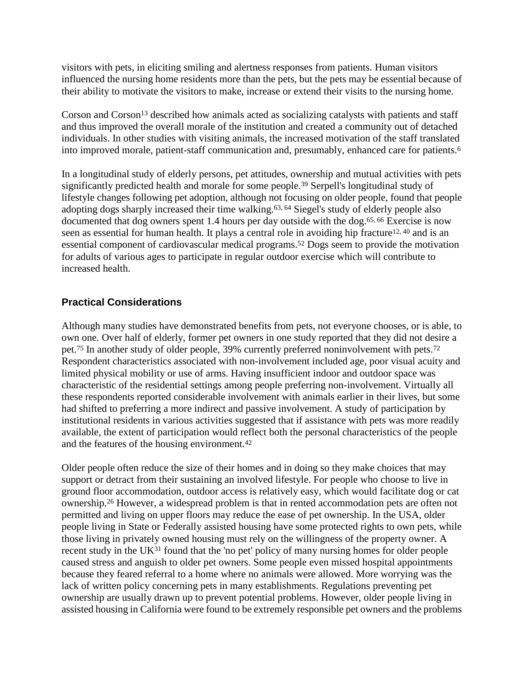visitors with pets, in eliciting smiling and alertness responses from patients. Human visitors influenced the nursing home residents more than the pets, but the pets may be essential because of their ability to motivate the visitors to make, increase or extend their visits to the nursing home.

Corson and Corson<sup>13</sup> described how animals acted as socializing catalysts with patients and staff and thus improved the overall morale of the institution and created a community out of detached individuals. In other studies with visiting animals, the increased motivation of the staff translated into improved morale, patient-staff communication and, presumably, enhanced care for patients.<sup>6</sup>

In a longitudinal study of elderly persons, pet attitudes, ownership and mutual activities with pets significantly predicted health and morale for some people.<sup>39</sup> Serpell's longitudinal study of lifestyle changes following pet adoption, although not focusing on older people, found that people adopting dogs sharply increased their time walking.63, 64 Siegel's study of elderly people also documented that dog owners spent 1.4 hours per day outside with the dog.<sup>65, 66</sup> Exercise is now seen as essential for human health. It plays a central role in avoiding hip fracture<sup>12, 40</sup> and is an essential component of cardiovascular medical programs.<sup>52</sup> Dogs seem to provide the motivation for adults of various ages to participate in regular outdoor exercise which will contribute to increased health.

### **Practical Considerations**

Although many studies have demonstrated benefits from pets, not everyone chooses, or is able, to own one. Over half of elderly, former pet owners in one study reported that they did not desire a pet.<sup>75</sup> In another study of older people, 39% currently preferred noninvolvement with pets.<sup>72</sup> Respondent characteristics associated with non-involvement included age, poor visual acuity and limited physical mobility or use of arms. Having insufficient indoor and outdoor space was characteristic of the residential settings among people preferring non-involvement. Virtually all these respondents reported considerable involvement with animals earlier in their lives, but some had shifted to preferring a more indirect and passive involvement. A study of participation by institutional residents in various activities suggested that if assistance with pets was more readily available, the extent of participation would reflect both the personal characteristics of the people and the features of the housing environment.<sup>42</sup>

Older people often reduce the size of their homes and in doing so they make choices that may support or detract from their sustaining an involved lifestyle. For people who choose to live in ground floor accommodation, outdoor access is relatively easy, which would facilitate dog or cat ownership.<sup>26</sup> However, a widespread problem is that in rented accommodation pets are often not permitted and living on upper floors may reduce the ease of pet ownership. In the USA, older people living in State or Federally assisted housing have some protected rights to own pets, while those living in privately owned housing must rely on the willingness of the property owner. A recent study in the UK<sup>31</sup> found that the 'no pet' policy of many nursing homes for older people caused stress and anguish to older pet owners. Some people even missed hospital appointments because they feared referral to a home where no animals were allowed. More worrying was the lack of written policy concerning pets in many establishments. Regulations preventing pet ownership are usually drawn up to prevent potential problems. However, older people living in assisted housing in California were found to be extremely responsible pet owners and the problems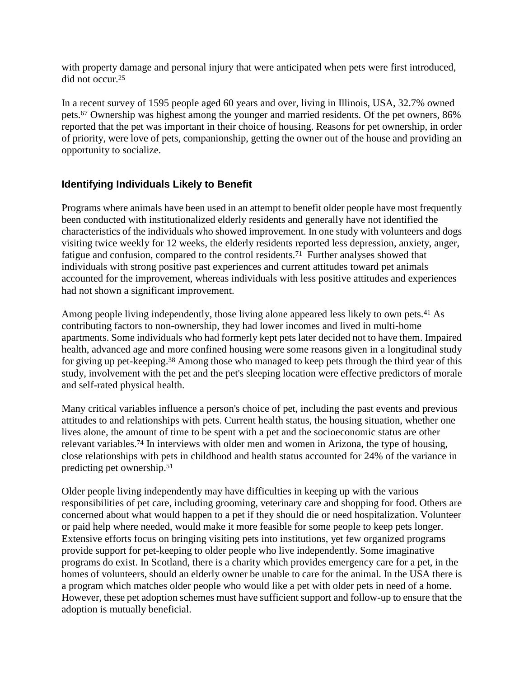with property damage and personal injury that were anticipated when pets were first introduced, did not occur.<sup>25</sup>

In a recent survey of 1595 people aged 60 years and over, living in Illinois, USA, 32.7% owned pets.<sup>67</sup> Ownership was highest among the younger and married residents. Of the pet owners, 86% reported that the pet was important in their choice of housing. Reasons for pet ownership, in order of priority, were love of pets, companionship, getting the owner out of the house and providing an opportunity to socialize.

### **Identifying Individuals Likely to Benefit**

Programs where animals have been used in an attempt to benefit older people have most frequently been conducted with institutionalized elderly residents and generally have not identified the characteristics of the individuals who showed improvement. In one study with volunteers and dogs visiting twice weekly for 12 weeks, the elderly residents reported less depression, anxiety, anger, fatigue and confusion, compared to the control residents.71 Further analyses showed that individuals with strong positive past experiences and current attitudes toward pet animals accounted for the improvement, whereas individuals with less positive attitudes and experiences had not shown a significant improvement.

Among people living independently, those living alone appeared less likely to own pets.<sup>41</sup> As contributing factors to non-ownership, they had lower incomes and lived in multi-home apartments. Some individuals who had formerly kept pets later decided not to have them. Impaired health, advanced age and more confined housing were some reasons given in a longitudinal study for giving up pet-keeping.<sup>38</sup> Among those who managed to keep pets through the third year of this study, involvement with the pet and the pet's sleeping location were effective predictors of morale and self-rated physical health.

Many critical variables influence a person's choice of pet, including the past events and previous attitudes to and relationships with pets. Current health status, the housing situation, whether one lives alone, the amount of time to be spent with a pet and the socioeconomic status are other relevant variables.<sup>74</sup> In interviews with older men and women in Arizona, the type of housing, close relationships with pets in childhood and health status accounted for 24% of the variance in predicting pet ownership.<sup>51</sup>

Older people living independently may have difficulties in keeping up with the various responsibilities of pet care, including grooming, veterinary care and shopping for food. Others are concerned about what would happen to a pet if they should die or need hospitalization. Volunteer or paid help where needed, would make it more feasible for some people to keep pets longer. Extensive efforts focus on bringing visiting pets into institutions, yet few organized programs provide support for pet-keeping to older people who live independently. Some imaginative programs do exist. In Scotland, there is a charity which provides emergency care for a pet, in the homes of volunteers, should an elderly owner be unable to care for the animal. In the USA there is a program which matches older people who would like a pet with older pets in need of a home. However, these pet adoption schemes must have sufficient support and follow-up to ensure that the adoption is mutually beneficial.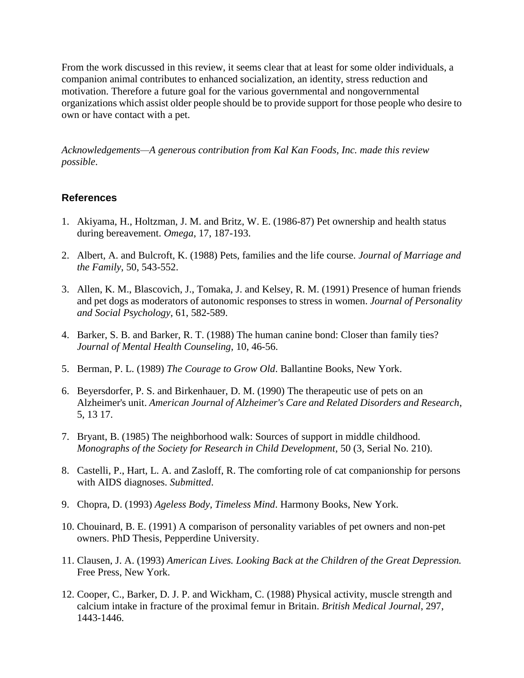From the work discussed in this review, it seems clear that at least for some older individuals, a companion animal contributes to enhanced socialization, an identity, stress reduction and motivation. Therefore a future goal for the various governmental and nongovernmental organizations which assist older people should be to provide support for those people who desire to own or have contact with a pet.

*Acknowledgements—A generous contribution from Kal Kan Foods, Inc. made this review possible*.

### **References**

- 1. Akiyama, H., Holtzman, J. M. and Britz, W. E. (1986-87) Pet ownership and health status during bereavement. *Omega*, 17, 187-193.
- 2. Albert, A. and Bulcroft, K. (1988) Pets, families and the life course. *Journal of Marriage and the Family*, 50, 543-552.
- 3. Allen, K. M., Blascovich, J., Tomaka, J. and Kelsey, R. M. (1991) Presence of human friends and pet dogs as moderators of autonomic responses to stress in women. *Journal of Personality and Social Psychology*, 61, 582-589.
- 4. Barker, S. B. and Barker, R. T. (1988) The human canine bond: Closer than family ties? *Journal of Mental Health Counseling*, 10, 46-56.
- 5. Berman, P. L. (1989) *The Courage to Grow Old*. Ballantine Books, New York.
- 6. Beyersdorfer, P. S. and Birkenhauer, D. M. (1990) The therapeutic use of pets on an Alzheimer's unit. *American Journal of Alzheimer's Care and Related Disorders and Research*, 5, 13 17.
- 7. Bryant, B. (1985) The neighborhood walk: Sources of support in middle childhood. *Monographs of the Society for Research in Child Development*, 50 (3, Serial No. 210).
- 8. Castelli, P., Hart, L. A. and Zasloff, R. The comforting role of cat companionship for persons with AIDS diagnoses. *Submitted*.
- 9. Chopra, D. (1993) *Ageless Body, Timeless Mind*. Harmony Books, New York.
- 10. Chouinard, B. E. (1991) A comparison of personality variables of pet owners and non-pet owners. PhD Thesis, Pepperdine University.
- 11. Clausen, J. A. (1993) *American Lives. Looking Back at the Children of the Great Depression.* Free Press, New York.
- 12. Cooper, C., Barker, D. J. P. and Wickham, C. (1988) Physical activity, muscle strength and calcium intake in fracture of the proximal femur in Britain. *British Medical Journal*, 297, 1443-1446.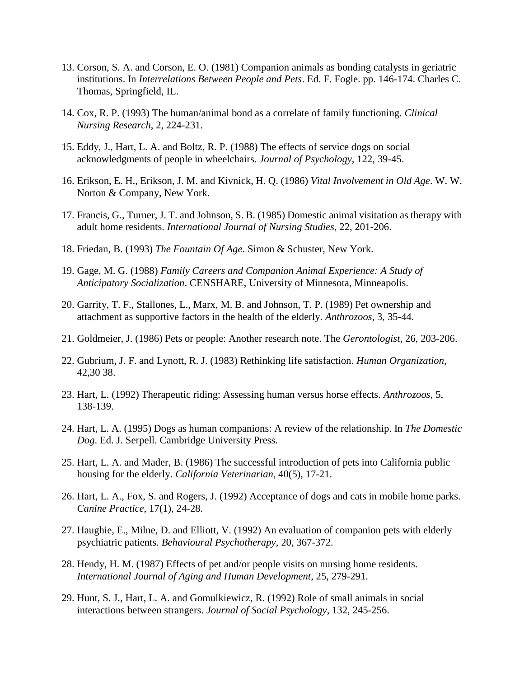- 13. Corson, S. A. and Corson, E. O. (1981) Companion animals as bonding catalysts in geriatric institutions. In *Interrelations Between People and Pets*. Ed. F. Fogle. pp. 146-174. Charles C. Thomas, Springfield, IL.
- 14. Cox, R. P. (1993) The human/animal bond as a correlate of family functioning. *Clinical Nursing Research*, 2, 224-231.
- 15. Eddy, J., Hart, L. A. and Boltz, R. P. (1988) The effects of service dogs on social acknowledgments of people in wheelchairs. *Journal of Psychology*, 122, 39-45.
- 16. Erikson, E. H., Erikson, J. M. and Kivnick, H. Q. (1986) *Vital Involvement in Old Age*. W. W. Norton & Company, New York.
- 17. Francis, G., Turner, J. T. and Johnson, S. B. (1985) Domestic animal visitation as therapy with adult home residents. *International Journal of Nursing Studies*, 22, 201-206.
- 18. Friedan, B. (1993) *The Fountain Of Age*. Simon & Schuster, New York.
- 19. Gage, M. G. (1988) *Family Careers and Companion Animal Experience: A Study of Anticipatory Socialization*. CENSHARE, University of Minnesota, Minneapolis.
- 20. Garrity, T. F., Stallones, L., Marx, M. B. and Johnson, T. P. (1989) Pet ownership and attachment as supportive factors in the health of the elderly. *Anthrozoos*, 3, 35-44.
- 21. Goldmeier, J. (1986) Pets or people: Another research note. The *Gerontologist*, 26, 203-206.
- 22. Gubrium, J. F. and Lynott, R. J. (1983) Rethinking life satisfaction. *Human Organization*, 42,30 38.
- 23. Hart, L. (1992) Therapeutic riding: Assessing human versus horse effects. *Anthrozoos*, 5, 138-139.
- 24. Hart, L. A. (1995) Dogs as human companions: A review of the relationship. In *The Domestic Dog*. Ed. J. Serpell. Cambridge University Press.
- 25. Hart, L. A. and Mader, B. (1986) The successful introduction of pets into California public housing for the elderly. *California Veterinarian*, 40(5), 17-21.
- 26. Hart, L. A., Fox, S. and Rogers, J. (1992) Acceptance of dogs and cats in mobile home parks. *Canine Practice*, 17(1), 24-28.
- 27. Haughie, E., Milne, D. and Elliott, V. (1992) An evaluation of companion pets with elderly psychiatric patients. *Behavioural Psychotherapy*, 20, 367-372.
- 28. Hendy, H. M. (1987) Effects of pet and/or people visits on nursing home residents. *International Journal of Aging and Human Development*, 25, 279-291.
- 29. Hunt, S. J., Hart, L. A. and Gomulkiewicz, R. (1992) Role of small animals in social interactions between strangers. *Journal of Social Psychology*, 132, 245-256.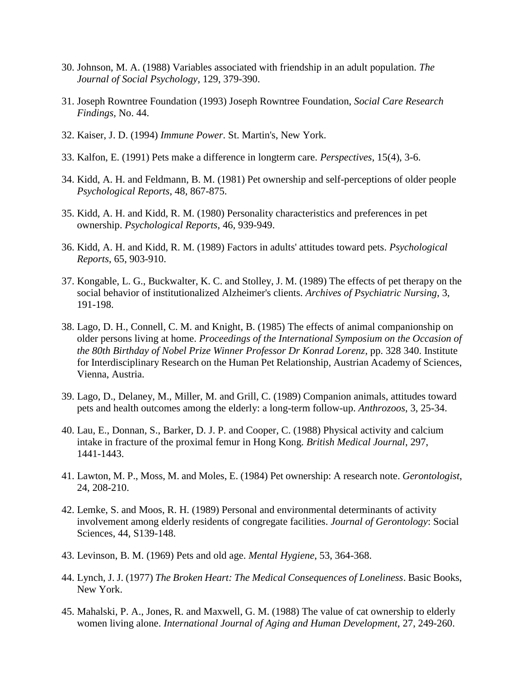- 30. Johnson, M. A. (1988) Variables associated with friendship in an adult population. *The Journal of Social Psychology*, 129, 379-390.
- 31. Joseph Rowntree Foundation (1993) Joseph Rowntree Foundation, *Social Care Research Findings,* No. 44.
- 32. Kaiser, J. D. (1994) *Immune Power*. St. Martin's, New York.
- 33. Kalfon, E. (1991) Pets make a difference in longterm care. *Perspectives*, 15(4), 3-6.
- 34. Kidd, A. H. and Feldmann, B. M. (1981) Pet ownership and self-perceptions of older people *Psychological Reports*, 48, 867-875.
- 35. Kidd, A. H. and Kidd, R. M. (1980) Personality characteristics and preferences in pet ownership. *Psychological Reports*, 46, 939-949.
- 36. Kidd, A. H. and Kidd, R. M. (1989) Factors in adults' attitudes toward pets. *Psychological Reports*, 65, 903-910.
- 37. Kongable, L. G., Buckwalter, K. C. and Stolley, J. M. (1989) The effects of pet therapy on the social behavior of institutionalized Alzheimer's clients. *Archives of Psychiatric Nursing*, 3, 191-198.
- 38. Lago, D. H., Connell, C. M. and Knight, B. (1985) The effects of animal companionship on older persons living at home. *Proceedings of the International Symposium on the Occasion of the 80th Birthday of Nobel Prize Winner Professor Dr Konrad Lorenz*, pp. 328 340. Institute for Interdisciplinary Research on the Human Pet Relationship, Austrian Academy of Sciences, Vienna, Austria.
- 39. Lago, D., Delaney, M., Miller, M. and Grill, C. (1989) Companion animals, attitudes toward pets and health outcomes among the elderly: a long-term follow-up. *Anthrozoos*, 3, 25-34.
- 40. Lau, E., Donnan, S., Barker, D. J. P. and Cooper, C. (1988) Physical activity and calcium intake in fracture of the proximal femur in Hong Kong. *British Medical Journal*, 297, 1441-1443.
- 41. Lawton, M. P., Moss, M. and Moles, E. (1984) Pet ownership: A research note. *Gerontologist*, 24, 208-210.
- 42. Lemke, S. and Moos, R. H. (1989) Personal and environmental determinants of activity involvement among elderly residents of congregate facilities. *Journal of Gerontology*: Social Sciences, 44, S139-148.
- 43. Levinson, B. M. (1969) Pets and old age. *Mental Hygiene*, 53, 364-368.
- 44. Lynch, J. J. (1977) *The Broken Heart: The Medical Consequences of Loneliness*. Basic Books, New York.
- 45. Mahalski, P. A., Jones, R. and Maxwell, G. M. (1988) The value of cat ownership to elderly women living alone. *International Journal of Aging and Human Development,* 27, 249-260.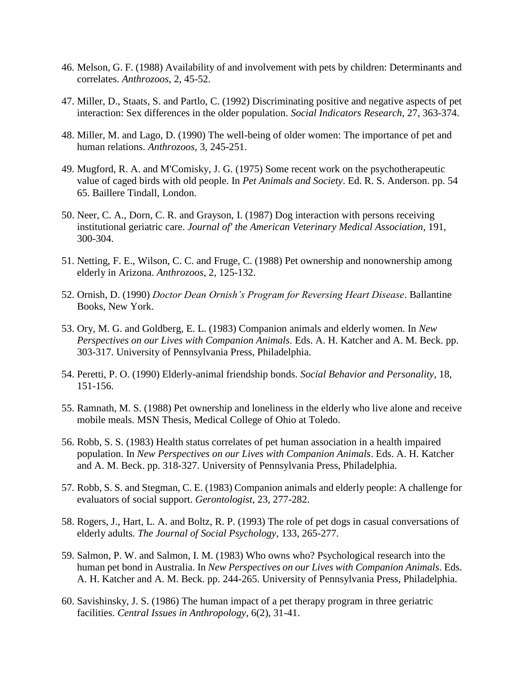- 46. Melson, G. F. (1988) Availability of and involvement with pets by children: Determinants and correlates. *Anthrozoos*, 2, 45-52.
- 47. Miller, D., Staats, S. and Partlo, C. (1992) Discriminating positive and negative aspects of pet interaction: Sex differences in the older population. *Social Indicators Research*, 27, 363-374.
- 48. Miller, M. and Lago, D. (1990) The well-being of older women: The importance of pet and human relations. *Anthrozoos*, 3, 245-251.
- 49. Mugford, R. A. and M'Comisky, J. G. (1975) Some recent work on the psychotherapeutic value of caged birds with old people. In *Pet Animals and Society*. Ed. R. S. Anderson. pp. 54 65. Baillere Tindall, London.
- 50. Neer, C. A., Dorn, C. R. and Grayson, I. (1987) Dog interaction with persons receiving institutional geriatric care. *Journal of' the American Veterinary Medical Association*, 191, 300-304.
- 51. Netting, F. E., Wilson, C. C. and Fruge, C. (1988) Pet ownership and nonownership among elderly in Arizona. *Anthrozoos*, 2, 125-132.
- 52. Ornish, D. (1990) *Doctor Dean Ornish's Program for Reversing Heart Disease*. Ballantine Books, New York.
- 53. Ory, M. G. and Goldberg, E. L. (1983) Companion animals and elderly women. In *New Perspectives on our Lives with Companion Animals*. Eds. A. H. Katcher and A. M. Beck. pp. 303-317. University of Pennsylvania Press, Philadelphia.
- 54. Peretti, P. O. (1990) Elderly-animal friendship bonds. *Social Behavior and Personality*, 18, 151-156.
- 55. Ramnath, M. S. (1988) Pet ownership and loneliness in the elderly who live alone and receive mobile meals. MSN Thesis, Medical College of Ohio at Toledo.
- 56. Robb, S. S. (1983) Health status correlates of pet human association in a health impaired population. In *New Perspectives on our Lives with Companion Animals*. Eds. A. H. Katcher and A. M. Beck. pp. 318-327. University of Pennsylvania Press, Philadelphia.
- 57. Robb, S. S. and Stegman, C. E. (1983) Companion animals and elderly people: A challenge for evaluators of social support. *Gerontologist,* 23, 277-282.
- 58. Rogers, J., Hart, L. A. and Boltz, R. P. (1993) The role of pet dogs in casual conversations of elderly adults*. The Journal of Social Psychology*, 133, 265-277.
- 59. Salmon, P. W. and Salmon, I. M. (1983) Who owns who? Psychological research into the human pet bond in Australia. In *New Perspectives on our Lives with Companion Animals*. Eds. A. H. Katcher and A. M. Beck. pp. 244-265. University of Pennsylvania Press, Philadelphia.
- 60. Savishinsky, J. S. (1986) The human impact of a pet therapy program in three geriatric facilities. *Central Issues in Anthropology*, 6(2), 31-41.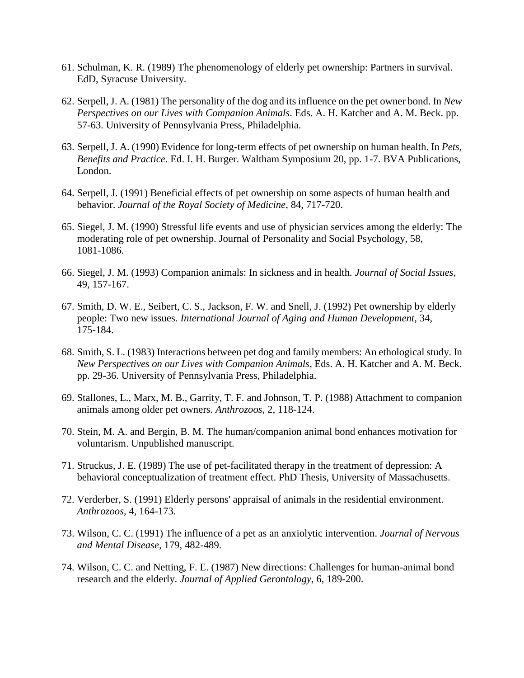- 61. Schulman, K. R. (1989) The phenomenology of elderly pet ownership: Partners in survival. EdD, Syracuse University.
- 62. Serpell, J. A. (1981) The personality of the dog and its influence on the pet owner bond. In *New Perspectives on our Lives with Companion Animals*. Eds. A. H. Katcher and A. M. Beck. pp. 57-63. University of Pennsylvania Press, Philadelphia.
- 63. Serpell, J. A. (1990) Evidence for long-term effects of pet ownership on human health. In *Pets, Benefits and Practice*. Ed. I. H. Burger. Waltham Symposium 20, pp. 1-7. BVA Publications, London.
- 64. Serpell, J. (1991) Beneficial effects of pet ownership on some aspects of human health and behavior. *Journal of the Royal Society of Medicine*, 84, 717-720.
- 65. Siegel, J. M. (1990) Stressful life events and use of physician services among the elderly: The moderating role of pet ownership. Journal of Personality and Social Psychology, 58, 1081-1086.
- 66. Siegel, J. M. (1993) Companion animals: In sickness and in health. *Journal of Social Issues*, 49, 157-167.
- 67. Smith, D. W. E., Seibert, C. S., Jackson, F. W. and Snell, J. (1992) Pet ownership by elderly people: Two new issues. *International Journal of Aging and Human Development*, 34, 175-184.
- 68. Smith, S. L. (1983) Interactions between pet dog and family members: An ethological study. In *New Perspectives on our Lives with Companion Animals*, Eds. A. H. Katcher and A. M. Beck. pp. 29-36. University of Pennsylvania Press, Philadelphia.
- 69. Stallones, L., Marx, M. B., Garrity, T. F. and Johnson, T. P. (1988) Attachment to companion animals among older pet owners. *Anthrozoos*, 2, 118-124.
- 70. Stein, M. A. and Bergin, B. M. The human/companion animal bond enhances motivation for voluntarism. Unpublished manuscript.
- 71. Struckus, J. E. (1989) The use of pet-facilitated therapy in the treatment of depression: A behavioral conceptualization of treatment effect. PhD Thesis, University of Massachusetts.
- 72. Verderber, S. (1991) Elderly persons' appraisal of animals in the residential environment. *Anthrozoos*, 4, 164-173.
- 73. Wilson, C. C. (1991) The influence of a pet as an anxiolytic intervention. *Journal of Nervous and Mental Disease*, 179, 482-489.
- 74. Wilson, C. C. and Netting, F. E. (1987) New directions: Challenges for human-animal bond research and the elderly. *Journal of Applied Gerontology*, 6, 189-200.